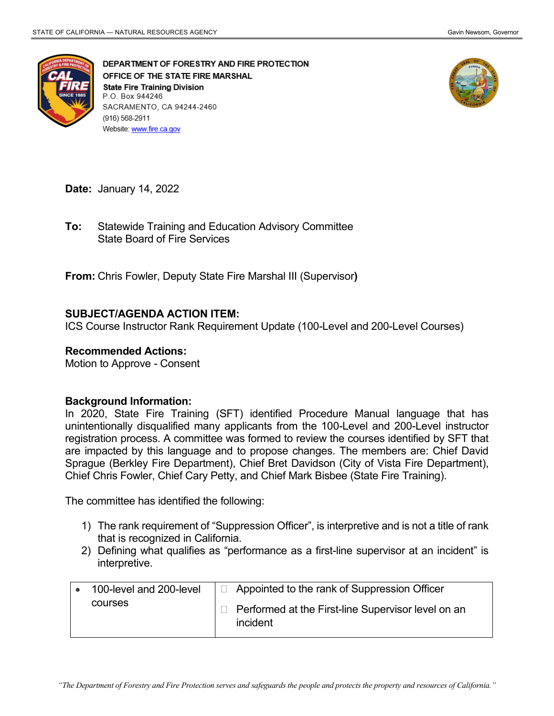

DEPARTMENT OF FORESTRY AND FIRE PROTECTION OFFICE OF THE STATE FIRE MARSHAL **State Fire Training Division** P.O. Box 944246 SACRAMENTO, CA 94244-2460 (916) 568-2911 Website: www.fire.ca.gov



**Date:** January 14, 2022

 State Board of Fire Services **To:** Statewide Training and Education Advisory Committee

**From:** Chris Fowler, Deputy State Fire Marshal III (Supervisor**)** 

# **SUBJECT/AGENDA ACTION ITEM:**

ICS Course Instructor Rank Requirement Update (100-Level and 200-Level Courses)

### **Recommended Actions:**

Motion to Approve - Consent

#### **Background Information:**

 In 2020, State Fire Training (SFT) identified Procedure Manual language that has unintentionally disqualified many applicants from the 100-Level and 200-Level instructor are impacted by this language and to propose changes. The members are: Chief David Sprague (Berkley Fire Department), Chief Bret Davidson (City of Vista Fire Department), registration process. A committee was formed to review the courses identified by SFT that Chief Chris Fowler, Chief Cary Petty, and Chief Mark Bisbee (State Fire Training).

The committee has identified the following:

- 1) The rank requirement of "Suppression Officer", is interpretive and is not a title of rank that is recognized in California.
- 2) Defining what qualifies as "performance as a first-line supervisor at an incident" is interpretive.

| 100-level and 200-level | $\Box$ Appointed to the rank of Suppression Officer                   |
|-------------------------|-----------------------------------------------------------------------|
| courses                 | $\Box$ Performed at the First-line Supervisor level on an<br>incident |